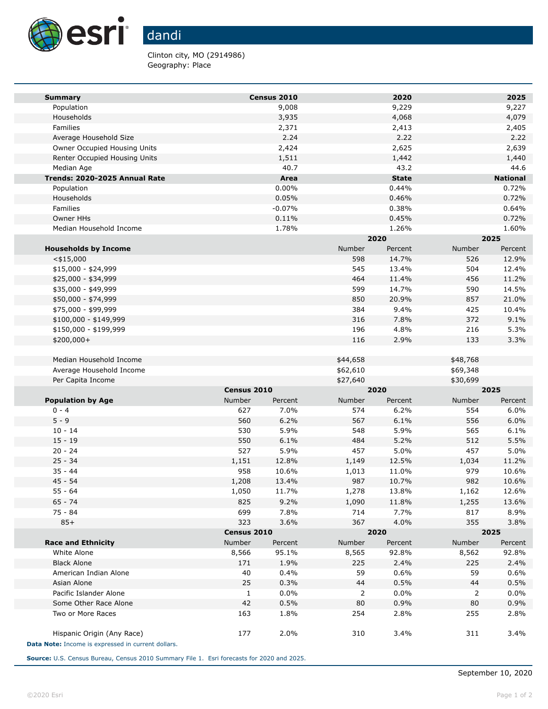

## dandi

Clinton city, MO (2914986) Geography: Place

| <b>Summary</b>                                     |                                  | Census 2010 |                           | 2020          |                | 2025             |
|----------------------------------------------------|----------------------------------|-------------|---------------------------|---------------|----------------|------------------|
| Population                                         |                                  | 9,008       |                           | 9,229         |                | 9,227            |
| Households                                         |                                  | 3,935       |                           | 4,068         |                | 4,079            |
| Families                                           |                                  | 2,371       |                           | 2,413         |                | 2,405            |
| Average Household Size                             |                                  | 2.24        |                           | 2.22          |                | 2.22             |
| Owner Occupied Housing Units                       |                                  | 2,424       |                           | 2,625         |                | 2,639            |
| Renter Occupied Housing Units                      |                                  | 1,511       |                           | 1,442         |                | 1,440            |
| Median Age                                         |                                  | 40.7        |                           | 43.2          |                | 44.6             |
| Trends: 2020-2025 Annual Rate                      |                                  | Area        |                           | <b>State</b>  |                | <b>National</b>  |
| Population                                         |                                  | 0.00%       |                           | 0.44%         |                | 0.72%            |
| Households                                         |                                  | 0.05%       |                           | 0.46%         |                | 0.72%            |
| Families                                           |                                  | $-0.07%$    |                           | 0.38%         |                | 0.64%            |
| Owner HHs                                          |                                  | 0.11%       |                           | 0.45%         |                | 0.72%            |
| Median Household Income                            |                                  | 1.78%       |                           | 1.26%         |                | 1.60%            |
|                                                    |                                  |             |                           | 2020          |                | 2025             |
| <b>Households by Income</b>                        |                                  |             | Number                    | Percent       | Number         | Percent          |
| $<$ \$15,000                                       |                                  |             | 598                       | 14.7%         | 526            | 12.9%            |
| $$15,000 - $24,999$                                |                                  |             | 545                       | 13.4%         | 504            | 12.4%            |
| \$25,000 - \$34,999                                |                                  |             | 464                       | 11.4%         | 456            | 11.2%            |
| \$35,000 - \$49,999                                |                                  |             | 599                       | 14.7%         | 590<br>857     | 14.5%            |
| \$50,000 - \$74,999                                |                                  |             | 850<br>384                | 20.9%<br>9.4% | 425            | 21.0%<br>10.4%   |
| \$75,000 - \$99,999<br>\$100,000 - \$149,999       |                                  |             | 316                       | 7.8%          | 372            | 9.1%             |
| \$150,000 - \$199,999                              |                                  |             | 196                       | 4.8%          | 216            | 5.3%             |
| $$200,000+$                                        |                                  |             | 116                       | 2.9%          | 133            | 3.3%             |
|                                                    |                                  |             |                           |               |                |                  |
| Median Household Income                            |                                  |             | \$44,658                  |               | \$48,768       |                  |
| Average Household Income                           |                                  |             | \$62,610                  |               | \$69,348       |                  |
| Per Capita Income                                  |                                  |             | \$27,640                  |               | \$30,699       |                  |
|                                                    | Census 2010                      |             | 2020                      |               | 2025           |                  |
| <b>Population by Age</b>                           | Number                           | Percent     | Number                    | Percent       | Number         | Percent          |
| $0 - 4$                                            | 627                              | 7.0%        | 574                       | 6.2%          | 554            | 6.0%             |
| $5 - 9$                                            | 560                              | 6.2%        | 567                       | 6.1%          | 556            | 6.0%             |
| $10 - 14$                                          | 530                              | 5.9%        | 548                       | 5.9%          | 565            | 6.1%             |
| $15 - 19$                                          | 550                              | 6.1%        | 484                       | 5.2%          | 512            | 5.5%             |
| $20 - 24$                                          | 527                              | 5.9%        | 457                       | 5.0%          | 457            | 5.0%             |
| $25 - 34$                                          | 1,151                            | 12.8%       | 1,149                     | 12.5%         | 1,034          | 11.2%            |
| $35 - 44$                                          | 958                              | 10.6%       | 1,013                     | 11.0%         | 979            | 10.6%            |
| $45 - 54$                                          | 1,208                            | 13.4%       | 987                       | 10.7%         | 982            | 10.6%            |
| 55 - 64                                            | 1,050                            | 11.7%       | 1,278                     | 13.8%         | 1,162          | 12.6%            |
| 65 - 74                                            | 825                              | 9.2%        | 1,090                     | 11.8%         | 1,255          | 13.6%            |
| 75 - 84                                            | 699                              | 7.8%        | 714                       | 7.7%          | 817            | 8.9%             |
| $85+$                                              | 323                              | 3.6%        | 367                       | 4.0%          | 355            | 3.8%             |
|                                                    | Census 2010<br>Number<br>Percent |             | 2020<br>Number<br>Percent |               | 2025<br>Number |                  |
| <b>Race and Ethnicity</b><br>White Alone           | 8,566                            | 95.1%       | 8,565                     | 92.8%         | 8,562          | Percent<br>92.8% |
| <b>Black Alone</b>                                 | 171                              | 1.9%        | 225                       | 2.4%          | 225            | 2.4%             |
| American Indian Alone                              | 40                               | 0.4%        | 59                        | 0.6%          | 59             | 0.6%             |
| Asian Alone                                        | 25                               | 0.3%        | 44                        | 0.5%          | 44             | 0.5%             |
| Pacific Islander Alone                             | 1                                | 0.0%        | 2                         | 0.0%          | 2              | 0.0%             |
| Some Other Race Alone                              | 42                               | 0.5%        | 80                        | 0.9%          | 80             | 0.9%             |
| Two or More Races                                  | 163                              | 1.8%        | 254                       | 2.8%          | 255            | 2.8%             |
|                                                    |                                  |             |                           |               |                |                  |
| Hispanic Origin (Any Race)                         | 177                              | 2.0%        | 310                       | 3.4%          | 311            | 3.4%             |
| Data Note: Income is expressed in current dollars. |                                  |             |                           |               |                |                  |

**Source:** U.S. Census Bureau, Census 2010 Summary File 1. Esri forecasts for 2020 and 2025.